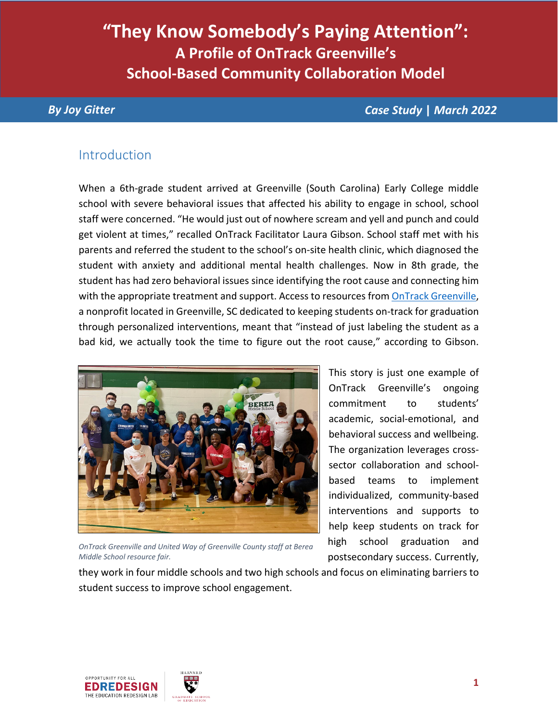# **"They Know Somebody's Paying Attention": A Profile of OnTrack Greenville's School-Based Community Collaboration Model**

*By Joy Gitter Case Study* **|** *March 2022*

#### Introduction

When a 6th-grade student arrived at Greenville (South Carolina) Early College middle school with severe behavioral issues that affected his ability to engage in school, school staff were concerned. "He would just out of nowhere scream and yell and punch and could get violent at times," recalled OnTrack Facilitator Laura Gibson. School staff met with his parents and referred the student to the school's on-site health clinic, which diagnosed the student with anxiety and additional mental health challenges. Now in 8th grade, the student has had zero behavioral issues since identifying the root cause and connecting him with the appropriate treatment and support. Access to resources from [OnTrack Greenville,](http://ontrackgreenville.org/) a nonprofit located in Greenville, SC dedicated to keeping students on-track for graduation through personalized interventions, meant that "instead of just labeling the student as a bad kid, we actually took the time to figure out the root cause," according to Gibson.



*OnTrack Greenville and United Way of Greenville County staff at Berea Middle School resource fair.*

This story is just one example of OnTrack Greenville's ongoing commitment to students' academic, social-emotional, and behavioral success and wellbeing. The organization leverages crosssector collaboration and schoolbased teams to implement individualized, community-based interventions and supports to help keep students on track for high school graduation and postsecondary success. Currently,

they work in four middle schools and two high schools and focus on eliminating barriers to student success to improve school engagement.

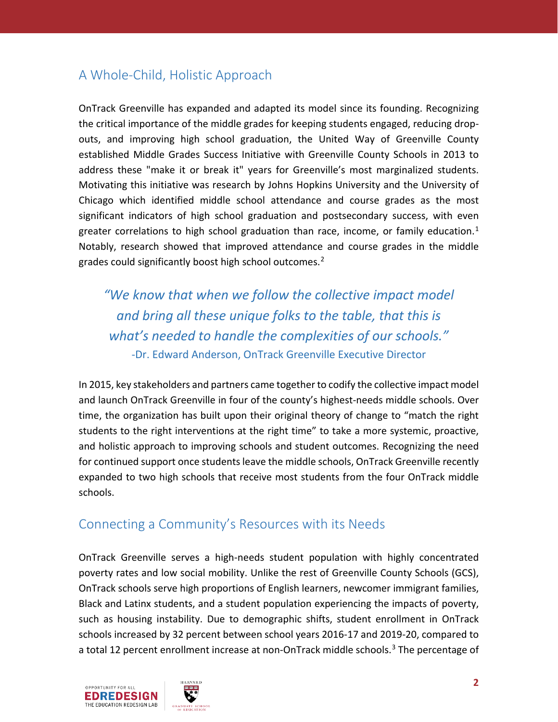## A Whole-Child, Holistic Approach

OnTrack Greenville has expanded and adapted its model since its founding. Recognizing the critical importance of the middle grades for keeping students engaged, reducing dropouts, and improving high school graduation, the United Way of Greenville County established Middle Grades Success Initiative with Greenville County Schools in 2013 to address these "make it or break it" years for Greenville's most marginalized students. Motivating this initiative was research by Johns Hopkins University and the University of Chicago which identified middle school attendance and course grades as the most significant indicators of high school graduation and postsecondary success, with even greater correlations to high school graduation than race, income, or family education.<sup>[1](#page-13-0)</sup> Notably, research showed that improved attendance and course grades in the middle grades could significantly boost high school outcomes.<sup>[2](#page-13-1)</sup>

*"We know that when we follow the collective impact model and bring all these unique folks to the table, that this is what's needed to handle the complexities of our schools."*  -Dr. Edward Anderson, OnTrack Greenville Executive Director

In 2015, key stakeholders and partners came together to codify the collective impact model and launch OnTrack Greenville in four of the county's highest-needs middle schools. Over time, the organization has built upon their original theory of change to "match the right students to the right interventions at the right time" to take a more systemic, proactive, and holistic approach to improving schools and student outcomes. Recognizing the need for continued support once students leave the middle schools, OnTrack Greenville recently expanded to two high schools that receive most students from the four OnTrack middle schools.

#### Connecting a Community's Resources with its Needs

OnTrack Greenville serves a high-needs student population with highly concentrated poverty rates and low social mobility. Unlike the rest of Greenville County Schools (GCS), OnTrack schools serve high proportions of English learners, newcomer immigrant families, Black and Latinx students, and a student population experiencing the impacts of poverty, such as housing instability. Due to demographic shifts, student enrollment in OnTrack schools increased by 32 percent between school years 2016-17 and 2019-20, compared to a total 12 percent enrollment increase at non-OnTrack middle schools.<sup>[3](#page-13-2)</sup> The percentage of

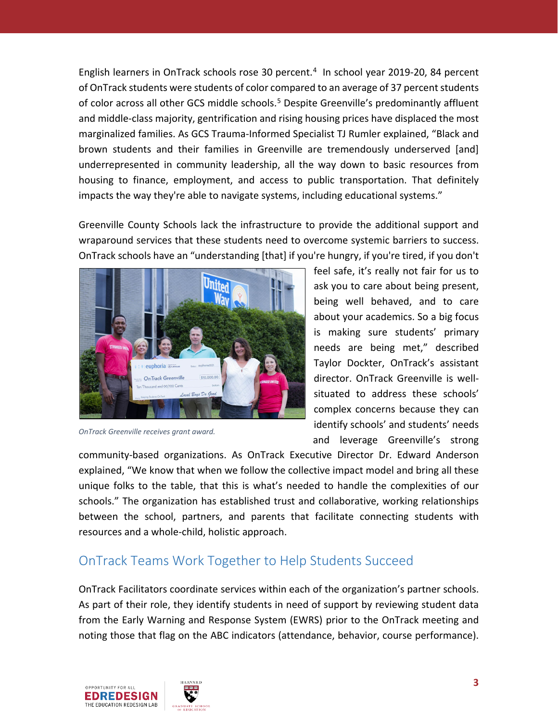English learners in OnTrack schools rose 30 percent. $4$  In school year 2019-20, 8[4](#page-13-3) percent of OnTrack students were students of color compared to an average of 37 percent students of color across all other GCS middle schools.<sup>[5](#page-13-4)</sup> Despite Greenville's predominantly affluent and middle-class majority, gentrification and rising housing prices have displaced the most marginalized families. As GCS Trauma-Informed Specialist TJ Rumler explained, "Black and brown students and their families in Greenville are tremendously underserved [and] underrepresented in community leadership, all the way down to basic resources from housing to finance, employment, and access to public transportation. That definitely impacts the way they're able to navigate systems, including educational systems."

Greenville County Schools lack the infrastructure to provide the additional support and wraparound services that these students need to overcome systemic barriers to success. OnTrack schools have an "understanding [that] if you're hungry, if you're tired, if you don't



*OnTrack Greenville receives grant award.*

feel safe, it's really not fair for us to ask you to care about being present, being well behaved, and to care about your academics. So a big focus is making sure students' primary needs are being met," described Taylor Dockter, OnTrack's assistant director. OnTrack Greenville is wellsituated to address these schools' complex concerns because they can identify schools' and students' needs and leverage Greenville's strong

community-based organizations. As OnTrack Executive Director Dr. Edward Anderson explained, "We know that when we follow the collective impact model and bring all these unique folks to the table, that this is what's needed to handle the complexities of our schools." The organization has established trust and collaborative, working relationships between the school, partners, and parents that facilitate connecting students with resources and a whole-child, holistic approach.

#### OnTrack Teams Work Together to Help Students Succeed

OnTrack Facilitators coordinate services within each of the organization's partner schools. As part of their role, they identify students in need of support by reviewing student data from the Early Warning and Response System (EWRS) prior to the OnTrack meeting and noting those that flag on the ABC indicators (attendance, behavior, course performance).

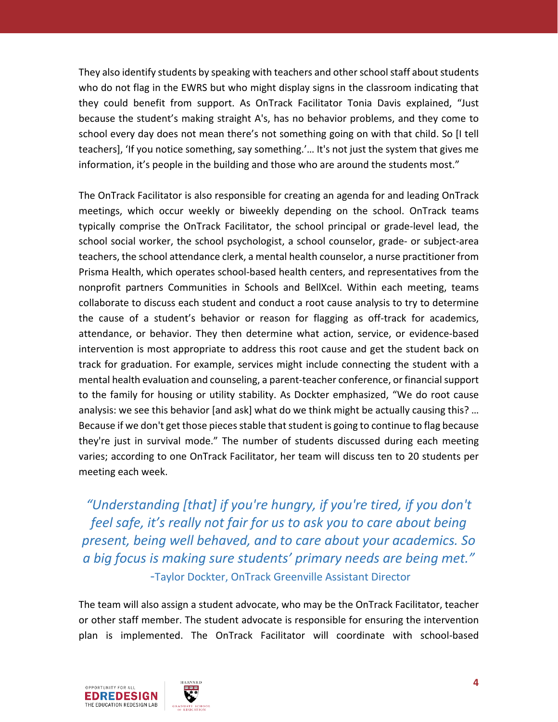They also identify students by speaking with teachers and other school staff about students who do not flag in the EWRS but who might display signs in the classroom indicating that they could benefit from support. As OnTrack Facilitator Tonia Davis explained, "Just because the student's making straight A's, has no behavior problems, and they come to school every day does not mean there's not something going on with that child. So [I tell teachers], 'If you notice something, say something.'… It's not just the system that gives me information, it's people in the building and those who are around the students most."

The OnTrack Facilitator is also responsible for creating an agenda for and leading OnTrack meetings, which occur weekly or biweekly depending on the school. OnTrack teams typically comprise the OnTrack Facilitator, the school principal or grade-level lead, the school social worker, the school psychologist, a school counselor, grade- or subject-area teachers, the school attendance clerk, a mental health counselor, a nurse practitioner from Prisma Health, which operates school-based health centers, and representatives from the nonprofit partners Communities in Schools and BellXcel. Within each meeting, teams collaborate to discuss each student and conduct a root cause analysis to try to determine the cause of a student's behavior or reason for flagging as off-track for academics, attendance, or behavior. They then determine what action, service, or evidence-based intervention is most appropriate to address this root cause and get the student back on track for graduation. For example, services might include connecting the student with a mental health evaluation and counseling, a parent-teacher conference, or financial support to the family for housing or utility stability. As Dockter emphasized, "We do root cause analysis: we see this behavior [and ask] what do we think might be actually causing this? ... Because if we don't get those pieces stable that student is going to continue to flag because they're just in survival mode." The number of students discussed during each meeting varies; according to one OnTrack Facilitator, her team will discuss ten to 20 students per meeting each week.

*"Understanding [that] if you're hungry, if you're tired, if you don't feel safe, it's really not fair for us to ask you to care about being present, being well behaved, and to care about your academics. So a big focus is making sure students' primary needs are being met."* -Taylor Dockter, OnTrack Greenville Assistant Director

The team will also assign a student advocate, who may be the OnTrack Facilitator, teacher or other staff member. The student advocate is responsible for ensuring the intervention plan is implemented. The OnTrack Facilitator will coordinate with school-based

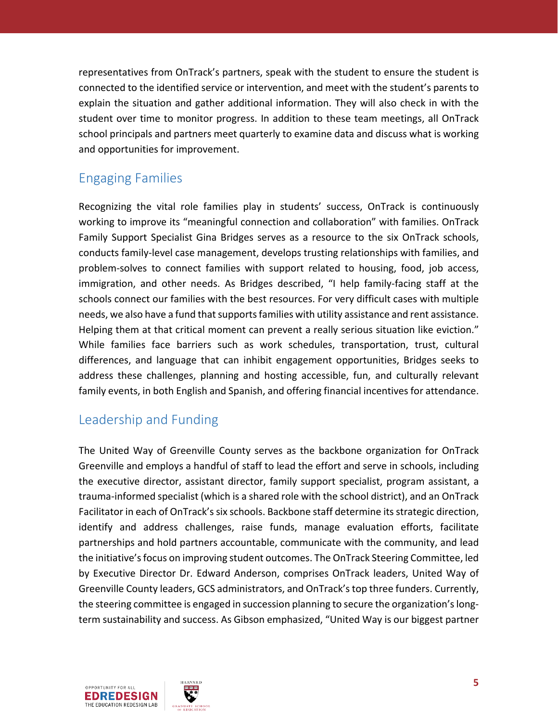representatives from OnTrack's partners, speak with the student to ensure the student is connected to the identified service or intervention, and meet with the student's parents to explain the situation and gather additional information. They will also check in with the student over time to monitor progress. In addition to these team meetings, all OnTrack school principals and partners meet quarterly to examine data and discuss what is working and opportunities for improvement.

#### Engaging Families

Recognizing the vital role families play in students' success, OnTrack is continuously working to improve its "meaningful connection and collaboration" with families. OnTrack Family Support Specialist Gina Bridges serves as a resource to the six OnTrack schools, conducts family-level case management, develops trusting relationships with families, and problem-solves to connect families with support related to housing, food, job access, immigration, and other needs. As Bridges described, "I help family-facing staff at the schools connect our families with the best resources. For very difficult cases with multiple needs, we also have a fund that supports families with utility assistance and rent assistance. Helping them at that critical moment can prevent a really serious situation like eviction." While families face barriers such as work schedules, transportation, trust, cultural differences, and language that can inhibit engagement opportunities, Bridges seeks to address these challenges, planning and hosting accessible, fun, and culturally relevant family events, in both English and Spanish, and offering financial incentives for attendance.

## Leadership and Funding

The United Way of Greenville County serves as the backbone organization for OnTrack Greenville and employs a handful of staff to lead the effort and serve in schools, including the executive director, assistant director, family support specialist, program assistant, a trauma-informed specialist (which is a shared role with the school district), and an OnTrack Facilitator in each of OnTrack's six schools. Backbone staff determine its strategic direction, identify and address challenges, raise funds, manage evaluation efforts, facilitate partnerships and hold partners accountable, communicate with the community, and lead the initiative's focus on improving student outcomes. The OnTrack Steering Committee, led by Executive Director Dr. Edward Anderson, comprises OnTrack leaders, United Way of Greenville County leaders, GCS administrators, and OnTrack's top three funders. Currently, the steering committee is engaged in succession planning to secure the organization's longterm sustainability and success. As Gibson emphasized, "United Way is our biggest partner

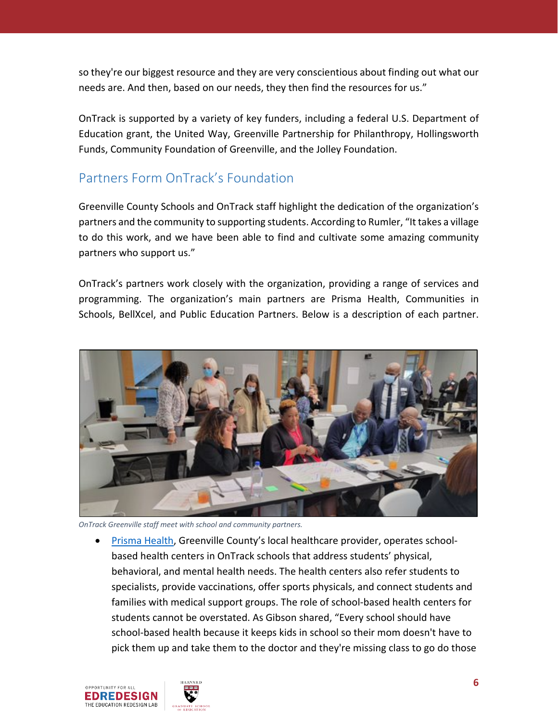so they're our biggest resource and they are very conscientious about finding out what our needs are. And then, based on our needs, they then find the resources for us."

OnTrack is supported by a variety of key funders, including a federal U.S. Department of Education grant, the United Way, Greenville Partnership for Philanthropy, Hollingsworth Funds, Community Foundation of Greenville, and the Jolley Foundation.

#### Partners Form OnTrack's Foundation

Greenville County Schools and OnTrack staff highlight the dedication of the organization's partners and the community to supporting students. According to Rumler, "It takes a village to do this work, and we have been able to find and cultivate some amazing community partners who support us."

OnTrack's partners work closely with the organization, providing a range of services and programming. The organization's main partners are Prisma Health, Communities in Schools, BellXcel, and Public Education Partners. Below is a description of each partner.



*OnTrack Greenville staff meet with school and community partners.*

• [Prisma Health,](https://www.prismahealth.org/) Greenville County's local healthcare provider, operates schoolbased health centers in OnTrack schools that address students' physical, behavioral, and mental health needs. The health centers also refer students to specialists, provide vaccinations, offer sports physicals, and connect students and families with medical support groups. The role of school-based health centers for students cannot be overstated. As Gibson shared, "Every school should have school-based health because it keeps kids in school so their mom doesn't have to pick them up and take them to the doctor and they're missing class to go do those

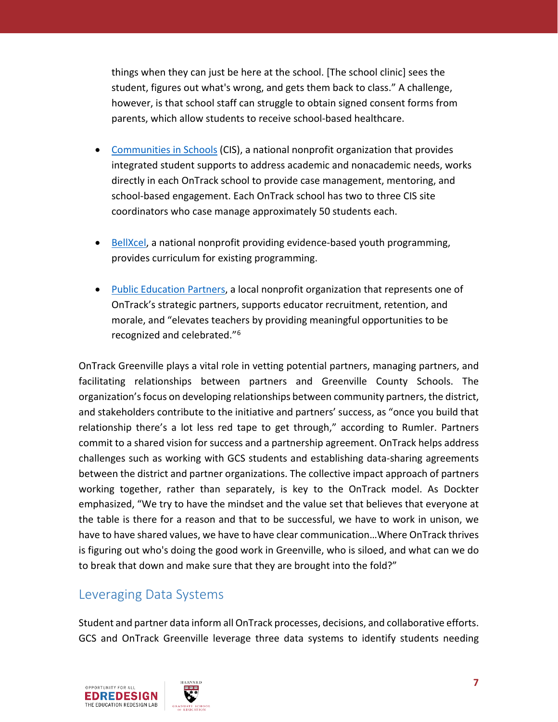things when they can just be here at the school. [The school clinic] sees the student, figures out what's wrong, and gets them back to class." A challenge, however, is that school staff can struggle to obtain signed consent forms from parents, which allow students to receive school-based healthcare.

- [Communities in Schools](https://cisofsc.org/) (CIS), a national nonprofit organization that provides integrated student supports to address academic and nonacademic needs, works directly in each OnTrack school to provide case management, mentoring, and school-based engagement. Each OnTrack school has two to three CIS site coordinators who case manage approximately 50 students each.
- [BellXcel,](https://www.bellxcel.org/) a national nonprofit providing evidence-based youth programming, provides curriculum for existing programming.
- [Public Education Partners,](https://pepgc.org/) a local nonprofit organization that represents one of OnTrack's strategic partners, supports educator recruitment, retention, and morale, and "elevates teachers by providing meaningful opportunities to be recognized and celebrated."[6](#page-13-5)

OnTrack Greenville plays a vital role in vetting potential partners, managing partners, and facilitating relationships between partners and Greenville County Schools. The organization's focus on developing relationships between community partners, the district, and stakeholders contribute to the initiative and partners' success, as "once you build that relationship there's a lot less red tape to get through," according to Rumler. Partners commit to a shared vision for success and a partnership agreement. OnTrack helps address challenges such as working with GCS students and establishing data-sharing agreements between the district and partner organizations. The collective impact approach of partners working together, rather than separately, is key to the OnTrack model. As Dockter emphasized, "We try to have the mindset and the value set that believes that everyone at the table is there for a reason and that to be successful, we have to work in unison, we have to have shared values, we have to have clear communication…Where OnTrack thrives is figuring out who's doing the good work in Greenville, who is siloed, and what can we do to break that down and make sure that they are brought into the fold?"

#### Leveraging Data Systems

Student and partner data inform all OnTrack processes, decisions, and collaborative efforts. GCS and OnTrack Greenville leverage three data systems to identify students needing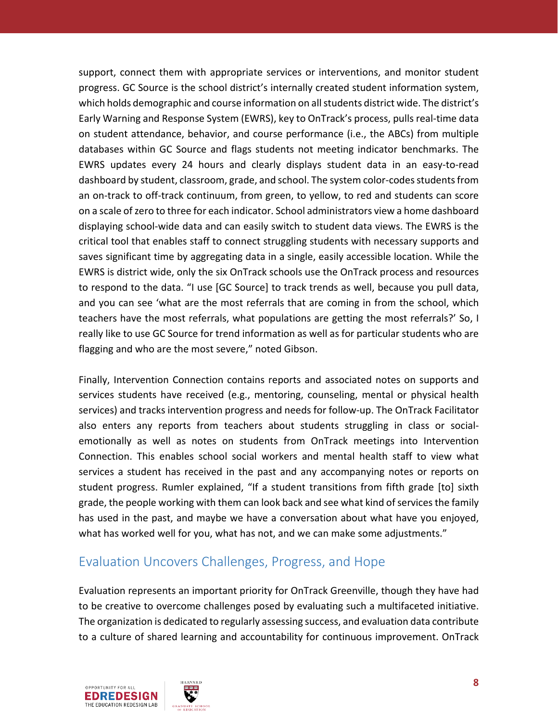support, connect them with appropriate services or interventions, and monitor student progress. GC Source is the school district's internally created student information system, which holds demographic and course information on all students district wide. The district's Early Warning and Response System (EWRS), key to OnTrack's process, pulls real-time data on student attendance, behavior, and course performance (i.e., the ABCs) from multiple databases within GC Source and flags students not meeting indicator benchmarks. The EWRS updates every 24 hours and clearly displays student data in an easy-to-read dashboard by student, classroom, grade, and school. The system color-codes students from an on-track to off-track continuum, from green, to yellow, to red and students can score on a scale of zero to three for each indicator. School administrators view a home dashboard displaying school-wide data and can easily switch to student data views. The EWRS is the critical tool that enables staff to connect struggling students with necessary supports and saves significant time by aggregating data in a single, easily accessible location. While the EWRS is district wide, only the six OnTrack schools use the OnTrack process and resources to respond to the data. "I use [GC Source] to track trends as well, because you pull data, and you can see 'what are the most referrals that are coming in from the school, which teachers have the most referrals, what populations are getting the most referrals?' So, I really like to use GC Source for trend information as well as for particular students who are flagging and who are the most severe," noted Gibson.

Finally, Intervention Connection contains reports and associated notes on supports and services students have received (e.g., mentoring, counseling, mental or physical health services) and tracks intervention progress and needs for follow-up. The OnTrack Facilitator also enters any reports from teachers about students struggling in class or socialemotionally as well as notes on students from OnTrack meetings into Intervention Connection. This enables school social workers and mental health staff to view what services a student has received in the past and any accompanying notes or reports on student progress. Rumler explained, "If a student transitions from fifth grade [to] sixth grade, the people working with them can look back and see what kind of services the family has used in the past, and maybe we have a conversation about what have you enjoyed, what has worked well for you, what has not, and we can make some adjustments."

#### Evaluation Uncovers Challenges, Progress, and Hope

Evaluation represents an important priority for OnTrack Greenville, though they have had to be creative to overcome challenges posed by evaluating such a multifaceted initiative. The organization is dedicated to regularly assessing success, and evaluation data contribute to a culture of shared learning and accountability for continuous improvement. OnTrack

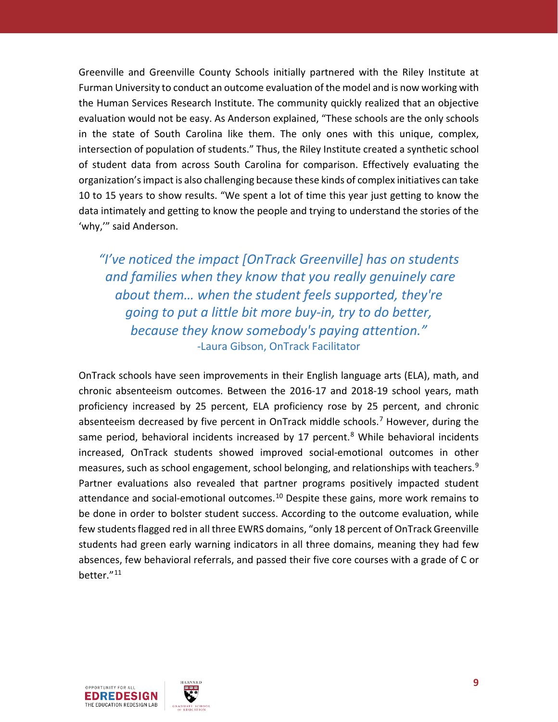Greenville and Greenville County Schools initially partnered with the Riley Institute at Furman University to conduct an outcome evaluation of the model and is now working with the Human Services Research Institute. The community quickly realized that an objective evaluation would not be easy. As Anderson explained, "These schools are the only schools in the state of South Carolina like them. The only ones with this unique, complex, intersection of population of students." Thus, the Riley Institute created a synthetic school of student data from across South Carolina for comparison. Effectively evaluating the organization'simpact is also challenging because these kinds of complex initiatives can take 10 to 15 years to show results. "We spent a lot of time this year just getting to know the data intimately and getting to know the people and trying to understand the stories of the 'why,'" said Anderson.

*"I've noticed the impact [OnTrack Greenville] has on students and families when they know that you really genuinely care about them… when the student feels supported, they're going to put a little bit more buy-in, try to do better, because they know somebody's paying attention."* -Laura Gibson, OnTrack Facilitator

OnTrack schools have seen improvements in their English language arts (ELA), math, and chronic absenteeism outcomes. Between the 2016-17 and 2018-19 school years, math proficiency increased by 25 percent, ELA proficiency rose by 25 percent, and chronic absenteeism decreased by five percent in OnTrack middle schools.<sup>[7](#page-13-6)</sup> However, during the same period, behavioral incidents increased by 17 percent. $8$  While behavioral incidents increased, OnTrack students showed improved social-emotional outcomes in other measures, such as school engagement, school belonging, and relationships with teachers.<sup>[9](#page-13-8)</sup> Partner evaluations also revealed that partner programs positively impacted student attendance and social-emotional outcomes.<sup>[10](#page-13-9)</sup> Despite these gains, more work remains to be done in order to bolster student success. According to the outcome evaluation, while few students flagged red in all three EWRS domains, "only 18 percent of OnTrack Greenville students had green early warning indicators in all three domains, meaning they had few absences, few behavioral referrals, and passed their five core courses with a grade of C or better."[11](#page-13-10)

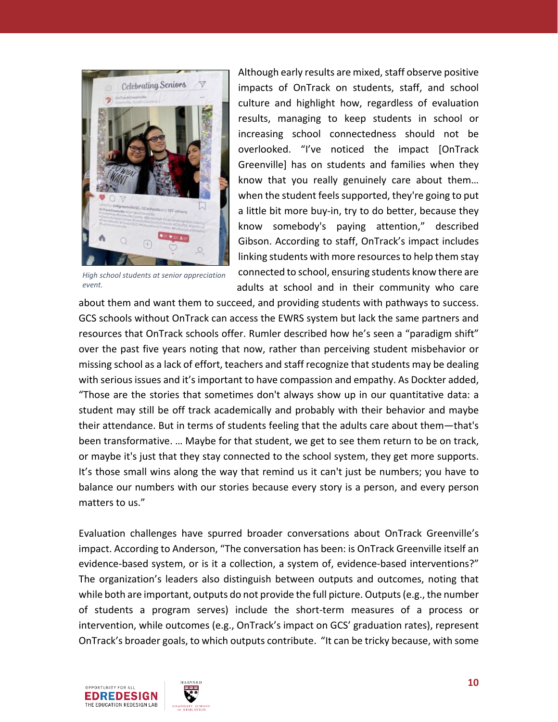

*High school students at senior appreciation event.*

Although early results are mixed, staff observe positive impacts of OnTrack on students, staff, and school culture and highlight how, regardless of evaluation results, managing to keep students in school or increasing school connectedness should not be overlooked. "I've noticed the impact [OnTrack Greenville] has on students and families when they know that you really genuinely care about them… when the student feels supported, they're going to put a little bit more buy-in, try to do better, because they know somebody's paying attention," described Gibson. According to staff, OnTrack's impact includes linking students with more resources to help them stay connected to school, ensuring students know there are adults at school and in their community who care

about them and want them to succeed, and providing students with pathways to success. GCS schools without OnTrack can access the EWRS system but lack the same partners and resources that OnTrack schools offer. Rumler described how he's seen a "paradigm shift" over the past five years noting that now, rather than perceiving student misbehavior or missing school as a lack of effort, teachers and staff recognize that students may be dealing with serious issues and it's important to have compassion and empathy. As Dockter added, "Those are the stories that sometimes don't always show up in our quantitative data: a student may still be off track academically and probably with their behavior and maybe their attendance. But in terms of students feeling that the adults care about them—that's been transformative. … Maybe for that student, we get to see them return to be on track, or maybe it's just that they stay connected to the school system, they get more supports. It's those small wins along the way that remind us it can't just be numbers; you have to balance our numbers with our stories because every story is a person, and every person matters to us."

Evaluation challenges have spurred broader conversations about OnTrack Greenville's impact. According to Anderson, "The conversation has been: is OnTrack Greenville itself an evidence-based system, or is it a collection, a system of, evidence-based interventions?" The organization's leaders also distinguish between outputs and outcomes, noting that while both are important, outputs do not provide the full picture. Outputs(e.g., the number of students a program serves) include the short-term measures of a process or intervention, while outcomes (e.g., OnTrack's impact on GCS' graduation rates), represent OnTrack's broader goals, to which outputs contribute. "It can be tricky because, with some



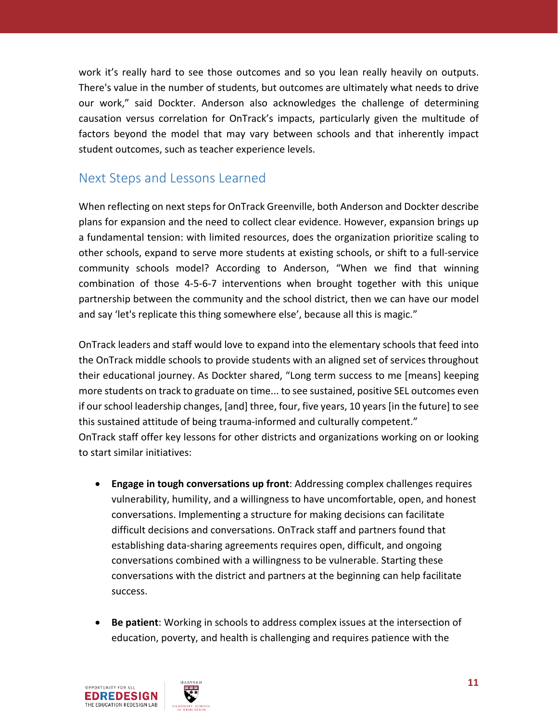work it's really hard to see those outcomes and so you lean really heavily on outputs. There's value in the number of students, but outcomes are ultimately what needs to drive our work," said Dockter. Anderson also acknowledges the challenge of determining causation versus correlation for OnTrack's impacts, particularly given the multitude of factors beyond the model that may vary between schools and that inherently impact student outcomes, such as teacher experience levels.

#### Next Steps and Lessons Learned

When reflecting on next steps for OnTrack Greenville, both Anderson and Dockter describe plans for expansion and the need to collect clear evidence. However, expansion brings up a fundamental tension: with limited resources, does the organization prioritize scaling to other schools, expand to serve more students at existing schools, or shift to a full-service community schools model? According to Anderson, "When we find that winning combination of those 4-5-6-7 interventions when brought together with this unique partnership between the community and the school district, then we can have our model and say 'let's replicate this thing somewhere else', because all this is magic."

OnTrack leaders and staff would love to expand into the elementary schools that feed into the OnTrack middle schools to provide students with an aligned set of services throughout their educational journey. As Dockter shared, "Long term success to me [means] keeping more students on track to graduate on time... to see sustained, positive SEL outcomes even if our school leadership changes, [and] three, four, five years, 10 years [in the future] to see this sustained attitude of being trauma-informed and culturally competent." OnTrack staff offer key lessons for other districts and organizations working on or looking to start similar initiatives:

- **Engage in tough conversations up front**: Addressing complex challenges requires vulnerability, humility, and a willingness to have uncomfortable, open, and honest conversations. Implementing a structure for making decisions can facilitate difficult decisions and conversations. OnTrack staff and partners found that establishing data-sharing agreements requires open, difficult, and ongoing conversations combined with a willingness to be vulnerable. Starting these conversations with the district and partners at the beginning can help facilitate success.
- **Be patient**: Working in schools to address complex issues at the intersection of education, poverty, and health is challenging and requires patience with the

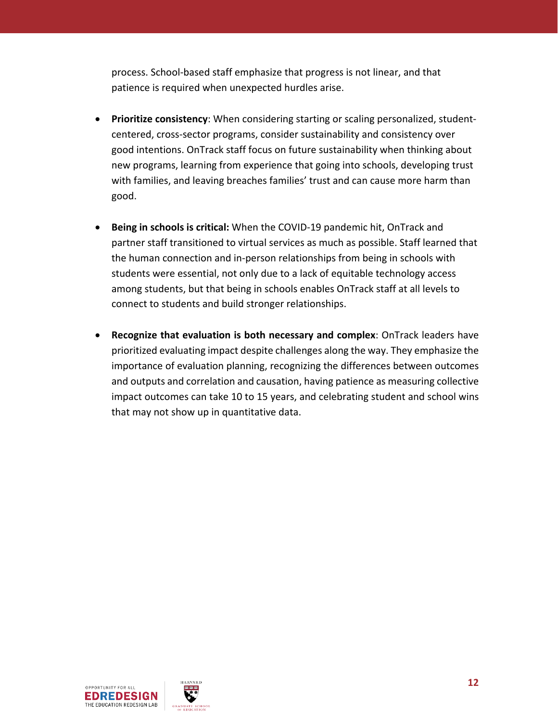process. School-based staff emphasize that progress is not linear, and that patience is required when unexpected hurdles arise.

- **Prioritize consistency**: When considering starting or scaling personalized, studentcentered, cross-sector programs, consider sustainability and consistency over good intentions. OnTrack staff focus on future sustainability when thinking about new programs, learning from experience that going into schools, developing trust with families, and leaving breaches families' trust and can cause more harm than good.
- **Being in schools is critical:** When the COVID-19 pandemic hit, OnTrack and partner staff transitioned to virtual services as much as possible. Staff learned that the human connection and in-person relationships from being in schools with students were essential, not only due to a lack of equitable technology access among students, but that being in schools enables OnTrack staff at all levels to connect to students and build stronger relationships.
- **Recognize that evaluation is both necessary and complex**: OnTrack leaders have prioritized evaluating impact despite challenges along the way. They emphasize the importance of evaluation planning, recognizing the differences between outcomes and outputs and correlation and causation, having patience as measuring collective impact outcomes can take 10 to 15 years, and celebrating student and school wins that may not show up in quantitative data.

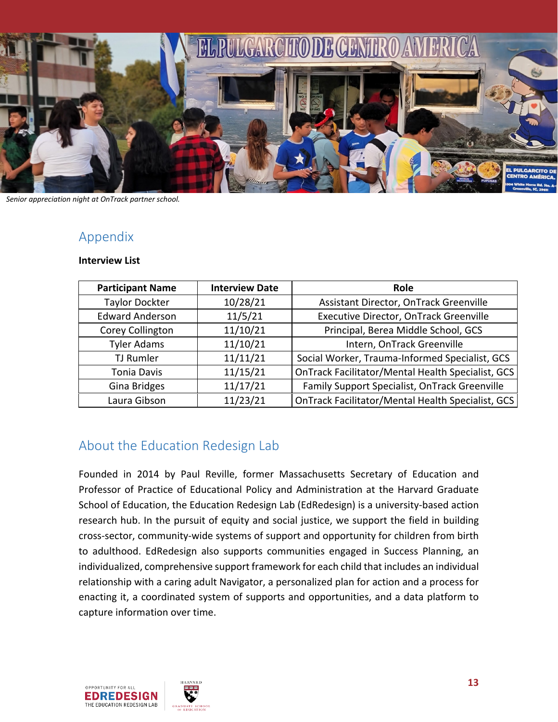

*Senior appreciation night at OnTrack partner school.*

#### Appendix

#### **Interview List**

| <b>Participant Name</b> | <b>Interview Date</b> | <b>Role</b>                                       |
|-------------------------|-----------------------|---------------------------------------------------|
| <b>Taylor Dockter</b>   | 10/28/21              | Assistant Director, OnTrack Greenville            |
| <b>Edward Anderson</b>  | 11/5/21               | Executive Director, OnTrack Greenville            |
| Corey Collington        | 11/10/21              | Principal, Berea Middle School, GCS               |
| <b>Tyler Adams</b>      | 11/10/21              | Intern, OnTrack Greenville                        |
| TJ Rumler               | 11/11/21              | Social Worker, Trauma-Informed Specialist, GCS    |
| <b>Tonia Davis</b>      | 11/15/21              | OnTrack Facilitator/Mental Health Specialist, GCS |
| Gina Bridges            | 11/17/21              | Family Support Specialist, OnTrack Greenville     |
| Laura Gibson            | 11/23/21              | OnTrack Facilitator/Mental Health Specialist, GCS |

#### About the Education Redesign Lab

Founded in 2014 by Paul Reville, former Massachusetts Secretary of Education and Professor of Practice of Educational Policy and Administration at the Harvard Graduate School of Education, the Education Redesign Lab (EdRedesign) is a university-based action research hub. In the pursuit of equity and social justice, we support the field in building cross-sector, community-wide systems of support and opportunity for children from birth to adulthood. EdRedesign also supports communities engaged in Success Planning, an individualized, comprehensive support framework for each child that includes an individual relationship with a caring adult Navigator, a personalized plan for action and a process for enacting it, a coordinated system of supports and opportunities, and a data platform to capture information over time.